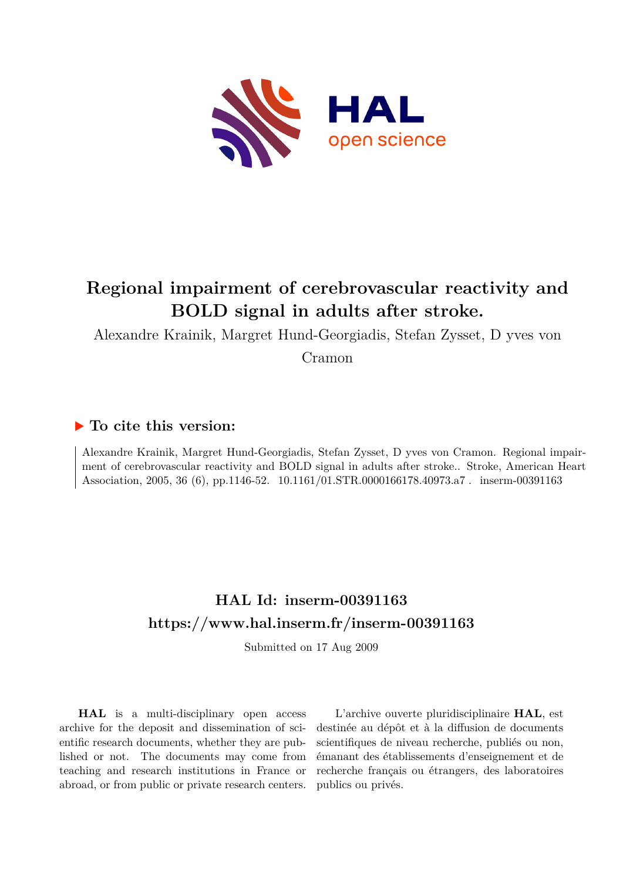

# **Regional impairment of cerebrovascular reactivity and BOLD signal in adults after stroke.**

Alexandre Krainik, Margret Hund-Georgiadis, Stefan Zysset, D yves von

Cramon

## **To cite this version:**

Alexandre Krainik, Margret Hund-Georgiadis, Stefan Zysset, D yves von Cramon. Regional impairment of cerebrovascular reactivity and BOLD signal in adults after stroke.. Stroke, American Heart Association, 2005, 36 (6), pp.1146-52. 10.1161/01.STR.0000166178.40973.a7. inserm-00391163

## **HAL Id: inserm-00391163 <https://www.hal.inserm.fr/inserm-00391163>**

Submitted on 17 Aug 2009

**HAL** is a multi-disciplinary open access archive for the deposit and dissemination of scientific research documents, whether they are published or not. The documents may come from teaching and research institutions in France or abroad, or from public or private research centers.

L'archive ouverte pluridisciplinaire **HAL**, est destinée au dépôt et à la diffusion de documents scientifiques de niveau recherche, publiés ou non, émanant des établissements d'enseignement et de recherche français ou étrangers, des laboratoires publics ou privés.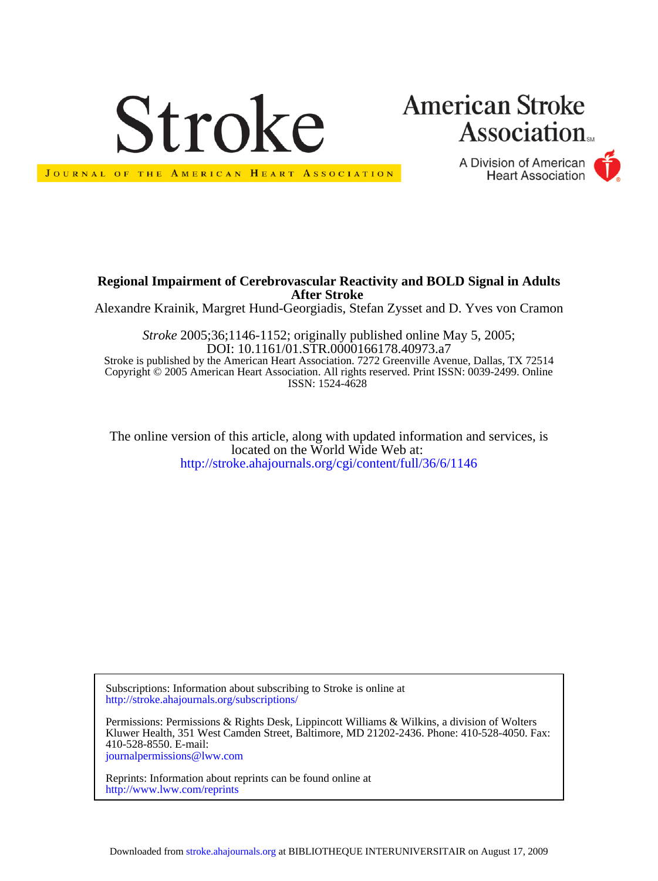

# **American Stroke Association**

A Division of American **Heart Association** 



JOURNAL OF THE AMERICAN HEART ASSOCIATION

#### **After Stroke Regional Impairment of Cerebrovascular Reactivity and BOLD Signal in Adults**

Alexandre Krainik, Margret Hund-Georgiadis, Stefan Zysset and D. Yves von Cramon

ISSN: 1524-4628 Copyright © 2005 American Heart Association. All rights reserved. Print ISSN: 0039-2499. Online Stroke is published by the American Heart Association. 7272 Greenville Avenue, Dallas, TX 72514 DOI: 10.1161/01.STR.0000166178.40973.a7 *Stroke* 2005;36;1146-1152; originally published online May 5, 2005;

<http://stroke.ahajournals.org/cgi/content/full/36/6/1146> located on the World Wide Web at: The online version of this article, along with updated information and services, is

<http://stroke.ahajournals.org/subscriptions/> Subscriptions: Information about subscribing to Stroke is online at

[journalpermissions@lww.com](mailto:journalpermissions@lww.com) 410-528-8550. E-mail: Kluwer Health, 351 West Camden Street, Baltimore, MD 21202-2436. Phone: 410-528-4050. Fax: Permissions: Permissions & Rights Desk, Lippincott Williams & Wilkins, a division of Wolters

<http://www.lww.com/reprints> Reprints: Information about reprints can be found online at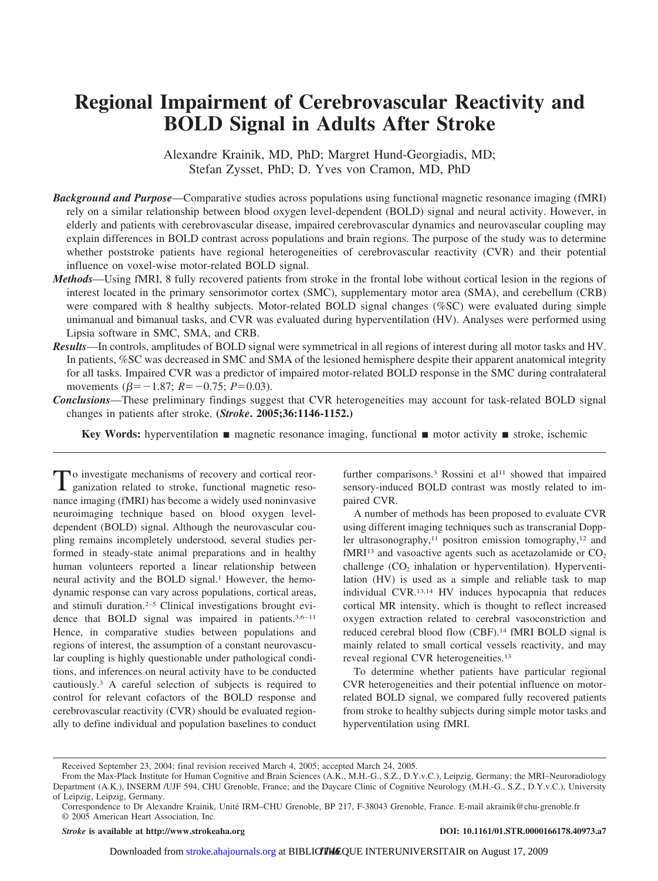## **Regional Impairment of Cerebrovascular Reactivity and BOLD Signal in Adults After Stroke**

Alexandre Krainik, MD, PhD; Margret Hund-Georgiadis, MD; Stefan Zysset, PhD; D. Yves von Cramon, MD, PhD

- *Background and Purpose*—Comparative studies across populations using functional magnetic resonance imaging (fMRI) rely on a similar relationship between blood oxygen level-dependent (BOLD) signal and neural activity. However, in elderly and patients with cerebrovascular disease, impaired cerebrovascular dynamics and neurovascular coupling may explain differences in BOLD contrast across populations and brain regions. The purpose of the study was to determine whether poststroke patients have regional heterogeneities of cerebrovascular reactivity (CVR) and their potential influence on voxel-wise motor-related BOLD signal.
- *Methods*—Using fMRI, 8 fully recovered patients from stroke in the frontal lobe without cortical lesion in the regions of interest located in the primary sensorimotor cortex (SMC), supplementary motor area (SMA), and cerebellum (CRB) were compared with 8 healthy subjects. Motor-related BOLD signal changes (%SC) were evaluated during simple unimanual and bimanual tasks, and CVR was evaluated during hyperventilation (HV). Analyses were performed using Lipsia software in SMC, SMA, and CRB.
- *Results*—In controls, amplitudes of BOLD signal were symmetrical in all regions of interest during all motor tasks and HV. In patients, %SC was decreased in SMC and SMA of the lesioned hemisphere despite their apparent anatomical integrity for all tasks. Impaired CVR was a predictor of impaired motor-related BOLD response in the SMC during contralateral movements ( $\beta$ =-1.87;  $R$ =-0.75;  $P$ =0.03).
- *Conclusions*—These preliminary findings suggest that CVR heterogeneities may account for task-related BOLD signal changes in patients after stroke. **(***Stroke***. 2005;36:1146-1152.)**

**Key Words:** hyperventilation  $\blacksquare$  magnetic resonance imaging, functional  $\blacksquare$  motor activity  $\blacksquare$  stroke, ischemic

To investigate mechanisms of recovery and cortical reor-ganization related to stroke, functional magnetic resonance imaging (fMRI) has become a widely used noninvasive neuroimaging technique based on blood oxygen leveldependent (BOLD) signal. Although the neurovascular coupling remains incompletely understood, several studies performed in steady-state animal preparations and in healthy human volunteers reported a linear relationship between neural activity and the BOLD signal.<sup>1</sup> However, the hemodynamic response can vary across populations, cortical areas, and stimuli duration.2–5 Clinical investigations brought evidence that BOLD signal was impaired in patients. $3,6-11$ Hence, in comparative studies between populations and regions of interest, the assumption of a constant neurovascular coupling is highly questionable under pathological conditions, and inferences on neural activity have to be conducted cautiously.3 A careful selection of subjects is required to control for relevant cofactors of the BOLD response and cerebrovascular reactivity (CVR) should be evaluated regionally to define individual and population baselines to conduct

further comparisons.<sup>3</sup> Rossini et al<sup>11</sup> showed that impaired sensory-induced BOLD contrast was mostly related to impaired CVR.

A number of methods has been proposed to evaluate CVR using different imaging techniques such as transcranial Doppler ultrasonography,<sup>11</sup> positron emission tomography,<sup>12</sup> and fMRI<sup>13</sup> and vasoactive agents such as acetazolamide or  $CO<sub>2</sub>$ challenge  $(CO<sub>2</sub>)$  inhalation or hyperventilation). Hyperventilation (HV) is used as a simple and reliable task to map individual CVR.13,14 HV induces hypocapnia that reduces cortical MR intensity, which is thought to reflect increased oxygen extraction related to cerebral vasoconstriction and reduced cerebral blood flow (CBF).14 fMRI BOLD signal is mainly related to small cortical vessels reactivity, and may reveal regional CVR heterogeneities.13

To determine whether patients have particular regional CVR heterogeneities and their potential influence on motorrelated BOLD signal, we compared fully recovered patients from stroke to healthy subjects during simple motor tasks and hyperventilation using fMRI.

*Stroke* **is available at http://www.strokeaha.org DOI: 10.1161/01.STR.0000166178.40973.a7**

Received September 23, 2004; final revision received March 4, 2005; accepted March 24, 2005.

From the Max-Plack Institute for Human Cognitive and Brain Sciences (A.K., M.H.-G., S.Z., D.Y.v.C.), Leipzig, Germany; the MRI–Neuroradiology Department (A.K.), INSERM /UJF 594, CHU Grenoble, France; and the Daycare Clinic of Cognitive Neurology (M.H.-G., S.Z., D.Y.v.C.), University of Leipzig, Leipzig, Germany.

Correspondence to Dr Alexandre Krainik, Unite´ IRM–CHU Grenoble, BP 217, F-38043 Grenoble, France. E-mail akrainik@chu-grenoble.fr © 2005 American Heart Association, Inc.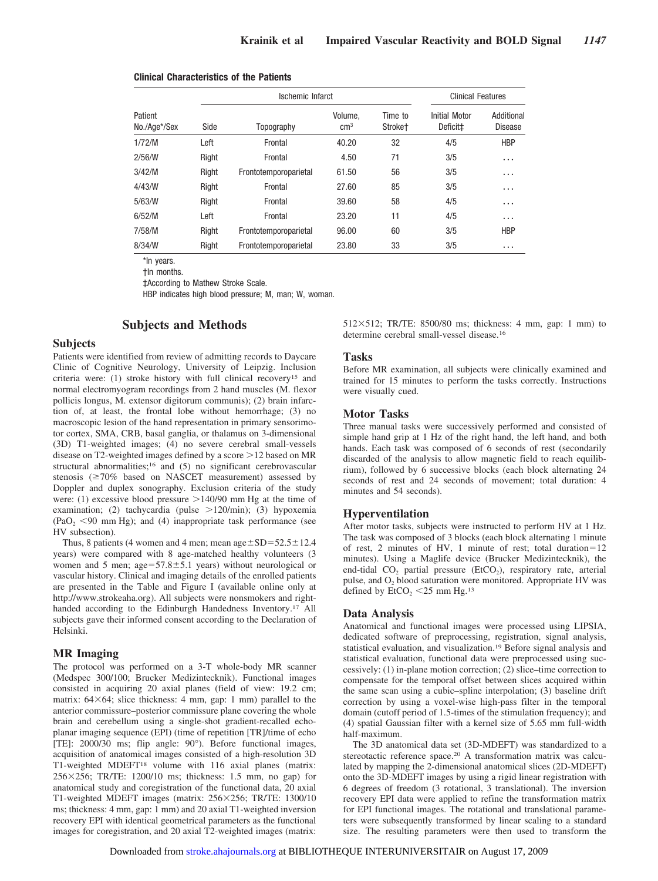| Patient<br>No./Age*/Sex | Ischemic Infarct |                       |                          |                                | <b>Clinical Features</b>              |                              |
|-------------------------|------------------|-----------------------|--------------------------|--------------------------------|---------------------------------------|------------------------------|
|                         | Side             | Topography            | Volume.<br>$\text{cm}^3$ | Time to<br>Stroke <sup>+</sup> | Initial Motor<br>Deficit <sup>+</sup> | Additional<br><b>Disease</b> |
| 1/72/M                  | Left             | Frontal               | 40.20                    | 32                             | 4/5                                   | <b>HBP</b>                   |
| 2/56/N                  | Right            | Frontal               | 4.50                     | 71                             | 3/5                                   | $\cdots$                     |
| 3/42/M                  | Right            | Frontotemporoparietal | 61.50                    | 56                             | 3/5                                   | $\cdots$                     |
| 4/43/W                  | Right            | Frontal               | 27.60                    | 85                             | 3/5                                   | $\cdots$                     |
| 5/63/W                  | Right            | Frontal               | 39.60                    | 58                             | 4/5                                   | $\cdots$                     |
| 6/52/M                  | Left             | Frontal               | 23.20                    | 11                             | 4/5                                   | $\cdots$                     |
| 7/58/M                  | Right            | Frontotemporoparietal | 96.00                    | 60                             | 3/5                                   | <b>HBP</b>                   |
| 8/34/W                  | Right            | Frontotemporoparietal | 23.80                    | 33                             | 3/5                                   | $\cdots$                     |

#### **Clinical Characteristics of the Patients**

\*In years. †In months.

‡According to Mathew Stroke Scale.

HBP indicates high blood pressure; M, man; W, woman.

#### **Subjects and Methods**

#### **Subjects**

Patients were identified from review of admitting records to Daycare Clinic of Cognitive Neurology, University of Leipzig. Inclusion criteria were: (1) stroke history with full clinical recovery15 and normal electromyogram recordings from 2 hand muscles (M. flexor pollicis longus, M. extensor digitorum communis); (2) brain infarction of, at least, the frontal lobe without hemorrhage; (3) no macroscopic lesion of the hand representation in primary sensorimotor cortex, SMA, CRB, basal ganglia, or thalamus on 3-dimensional (3D) T1-weighted images; (4) no severe cerebral small-vessels disease on T2-weighted images defined by a score  $>12$  based on MR structural abnormalities;<sup>16</sup> and (5) no significant cerebrovascular stenosis  $(\geq 70\%$  based on NASCET measurement) assessed by Doppler and duplex sonography. Exclusion criteria of the study were: (1) excessive blood pressure  $>140/90$  mm Hg at the time of examination; (2) tachycardia (pulse  $>120/min$ ); (3) hypoxemia  $(PaO<sub>2</sub> < 90$  mm Hg); and (4) inappropriate task performance (see HV subsection).

Thus, 8 patients (4 women and 4 men; mean  $age \pm SD = 52.5 \pm 12.4$ years) were compared with 8 age-matched healthy volunteers (3 women and 5 men;  $age=57.8 \pm 5.1$  years) without neurological or vascular history. Clinical and imaging details of the enrolled patients are presented in the Table and Figure I (available online only at http://www.strokeaha.org). All subjects were nonsmokers and righthanded according to the Edinburgh Handedness Inventory.17 All subjects gave their informed consent according to the Declaration of Helsinki.

#### **MR Imaging**

The protocol was performed on a 3-T whole-body MR scanner (Medspec 300/100; Brucker Medizintecknik). Functional images consisted in acquiring 20 axial planes (field of view: 19.2 cm; matrix:  $64\times64$ ; slice thickness: 4 mm, gap: 1 mm) parallel to the anterior commissure–posterior commissure plane covering the whole brain and cerebellum using a single-shot gradient-recalled echoplanar imaging sequence (EPI) (time of repetition [TR]/time of echo [TE]: 2000/30 ms; flip angle: 90°). Before functional images, acquisition of anatomical images consisted of a high-resolution 3D T1-weighted MDEFT18 volume with 116 axial planes (matrix: 256256; TR/TE: 1200/10 ms; thickness: 1.5 mm, no gap) for anatomical study and coregistration of the functional data, 20 axial T1-weighted MDEFT images (matrix: 256×256; TR/TE: 1300/10 ms; thickness: 4 mm, gap: 1 mm) and 20 axial T1-weighted inversion recovery EPI with identical geometrical parameters as the functional images for coregistration, and 20 axial T2-weighted images (matrix:  $512\times512$ ; TR/TE:  $8500/80$  ms; thickness: 4 mm, gap: 1 mm) to determine cerebral small-vessel disease.16

#### **Tasks**

Before MR examination, all subjects were clinically examined and trained for 15 minutes to perform the tasks correctly. Instructions were visually cued.

#### **Motor Tasks**

Three manual tasks were successively performed and consisted of simple hand grip at 1 Hz of the right hand, the left hand, and both hands. Each task was composed of 6 seconds of rest (secondarily discarded of the analysis to allow magnetic field to reach equilibrium), followed by 6 successive blocks (each block alternating 24 seconds of rest and 24 seconds of movement; total duration: 4 minutes and 54 seconds).

#### **Hyperventilation**

After motor tasks, subjects were instructed to perform HV at 1 Hz. The task was composed of 3 blocks (each block alternating 1 minute of rest, 2 minutes of HV, 1 minute of rest; total duration= $12$ minutes). Using a Maglife device (Brucker Medizintecknik), the end-tidal CO<sub>2</sub> partial pressure (EtCO<sub>2</sub>), respiratory rate, arterial pulse, and  $O_2$  blood saturation were monitored. Appropriate HV was defined by  $EtCO<sub>2</sub> < 25$  mm Hg.<sup>13</sup>

#### **Data Analysis**

Anatomical and functional images were processed using LIPSIA, dedicated software of preprocessing, registration, signal analysis, statistical evaluation, and visualization.19 Before signal analysis and statistical evaluation, functional data were preprocessed using successively: (1) in-plane motion correction; (2) slice–time correction to compensate for the temporal offset between slices acquired within the same scan using a cubic–spline interpolation; (3) baseline drift correction by using a voxel-wise high-pass filter in the temporal domain (cutoff period of 1.5-times of the stimulation frequency); and (4) spatial Gaussian filter with a kernel size of 5.65 mm full-width half-maximum.

The 3D anatomical data set (3D-MDEFT) was standardized to a stereotactic reference space.20 A transformation matrix was calculated by mapping the 2-dimensional anatomical slices (2D-MDEFT) onto the 3D-MDEFT images by using a rigid linear registration with 6 degrees of freedom (3 rotational, 3 translational). The inversion recovery EPI data were applied to refine the transformation matrix for EPI functional images. The rotational and translational parameters were subsequently transformed by linear scaling to a standard size. The resulting parameters were then used to transform the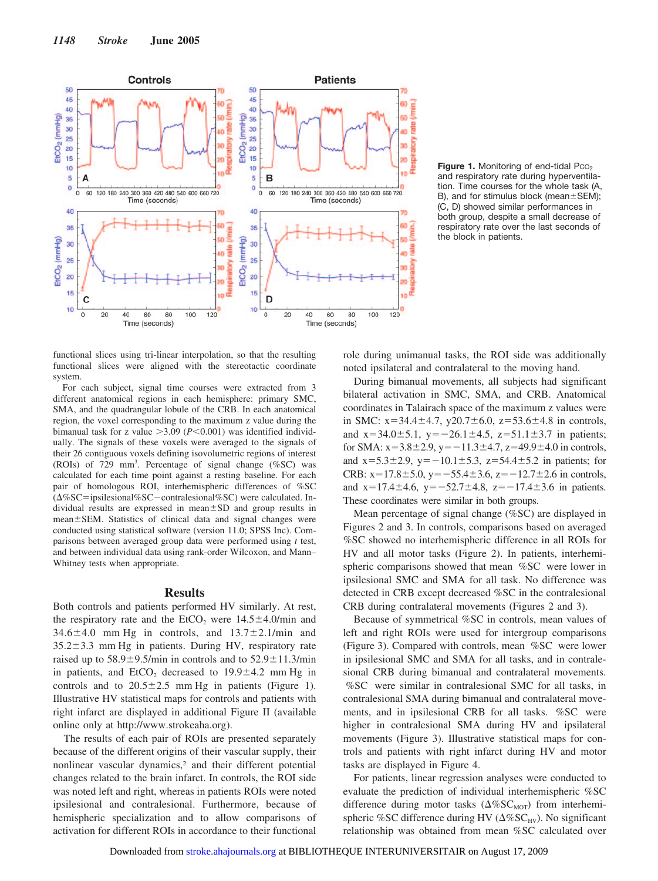

Figure 1. Monitoring of end-tidal Pco<sub>2</sub> and respiratory rate during hyperventilation. Time courses for the whole task (A, B), and for stimulus block (mean $\pm$ SEM); (C, D) showed similar performances in both group, despite a small decrease of respiratory rate over the last seconds of the block in patients.

functional slices using tri-linear interpolation, so that the resulting functional slices were aligned with the stereotactic coordinate system.

For each subject, signal time courses were extracted from 3 different anatomical regions in each hemisphere: primary SMC, SMA, and the quadrangular lobule of the CRB. In each anatomical region, the voxel corresponding to the maximum z value during the bimanual task for z value  $>3.09$  ( $P<0.001$ ) was identified individually. The signals of these voxels were averaged to the signals of their 26 contiguous voxels defining isovolumetric regions of interest (ROIs) of 729 mm3 . Percentage of signal change (%SC) was calculated for each time point against a resting baseline. For each pair of homologous ROI, interhemispheric differences of %SC  $(\Delta\%SC = ipsilesional\% SC - contralesional\% SC)$  were calculated. Individual results are expressed in mean $\pm$ SD and group results in mean±SEM. Statistics of clinical data and signal changes were conducted using statistical software (version 11.0; SPSS Inc). Comparisons between averaged group data were performed using *t* test, and between individual data using rank-order Wilcoxon, and Mann– Whitney tests when appropriate.

#### **Results**

Both controls and patients performed HV similarly. At rest, the respiratory rate and the  $EtCO<sub>2</sub>$  were  $14.5 \pm 4.0$ /min and  $34.6 \pm 4.0$  mm Hg in controls, and  $13.7 \pm 2.1$ /min and  $35.2 \pm 3.3$  mm Hg in patients. During HV, respiratory rate raised up to  $58.9 \pm 9.5$ /min in controls and to  $52.9 \pm 11.3$ /min in patients, and EtCO<sub>2</sub> decreased to  $19.9 \pm 4.2$  mm Hg in controls and to  $20.5 \pm 2.5$  mm Hg in patients (Figure 1). Illustrative HV statistical maps for controls and patients with right infarct are displayed in additional Figure II (available online only at http://www.strokeaha.org).

The results of each pair of ROIs are presented separately because of the different origins of their vascular supply, their nonlinear vascular dynamics,<sup>2</sup> and their different potential changes related to the brain infarct. In controls, the ROI side was noted left and right, whereas in patients ROIs were noted ipsilesional and contralesional. Furthermore, because of hemispheric specialization and to allow comparisons of activation for different ROIs in accordance to their functional role during unimanual tasks, the ROI side was additionally noted ipsilateral and contralateral to the moving hand.

During bimanual movements, all subjects had significant bilateral activation in SMC, SMA, and CRB. Anatomical coordinates in Talairach space of the maximum z values were in SMC:  $x=34.4\pm4.7$ ,  $y20.7\pm6.0$ ,  $z=53.6\pm4.8$  in controls, and  $x=34.0\pm5.1$ ,  $y=-26.1\pm4.5$ ,  $z=51.1\pm3.7$  in patients; for SMA:  $x=3.8\pm2.9$ ,  $y=-11.3\pm4.7$ ,  $z=49.9\pm4.0$  in controls, and  $x=5.3\pm2.9$ ,  $y=-10.1\pm5.3$ ,  $z=54.4\pm5.2$  in patients; for CRB:  $x=17.8 \pm 5.0$ ,  $y=-55.4 \pm 3.6$ ,  $z=-12.7 \pm 2.6$  in controls, and  $x=17.4\pm4.6$ ,  $y=-52.7\pm4.8$ ,  $z=-17.4\pm3.6$  in patients. These coordinates were similar in both groups.

Mean percentage of signal change (%SC) are displayed in Figures 2 and 3. In controls, comparisons based on averaged %SC showed no interhemispheric difference in all ROIs for HV and all motor tasks (Figure 2). In patients, interhemispheric comparisons showed that mean %SC were lower in ipsilesional SMC and SMA for all task. No difference was detected in CRB except decreased %SC in the contralesional CRB during contralateral movements (Figures 2 and 3).

Because of symmetrical %SC in controls, mean values of left and right ROIs were used for intergroup comparisons (Figure 3). Compared with controls, mean %SC were lower in ipsilesional SMC and SMA for all tasks, and in contralesional CRB during bimanual and contralateral movements. %SC were similar in contralesional SMC for all tasks, in contralesional SMA during bimanual and contralateral movements, and in ipsilesional CRB for all tasks. %SC were higher in contralesional SMA during HV and ipsilateral movements (Figure 3). Illustrative statistical maps for controls and patients with right infarct during HV and motor tasks are displayed in Figure 4.

For patients, linear regression analyses were conducted to evaluate the prediction of individual interhemispheric %SC difference during motor tasks  $(\Delta \% {\rm SC_{MOT}})$  from interhemispheric %SC difference during HV ( $\Delta$ %SC<sub>HV</sub>). No significant relationship was obtained from mean %SC calculated over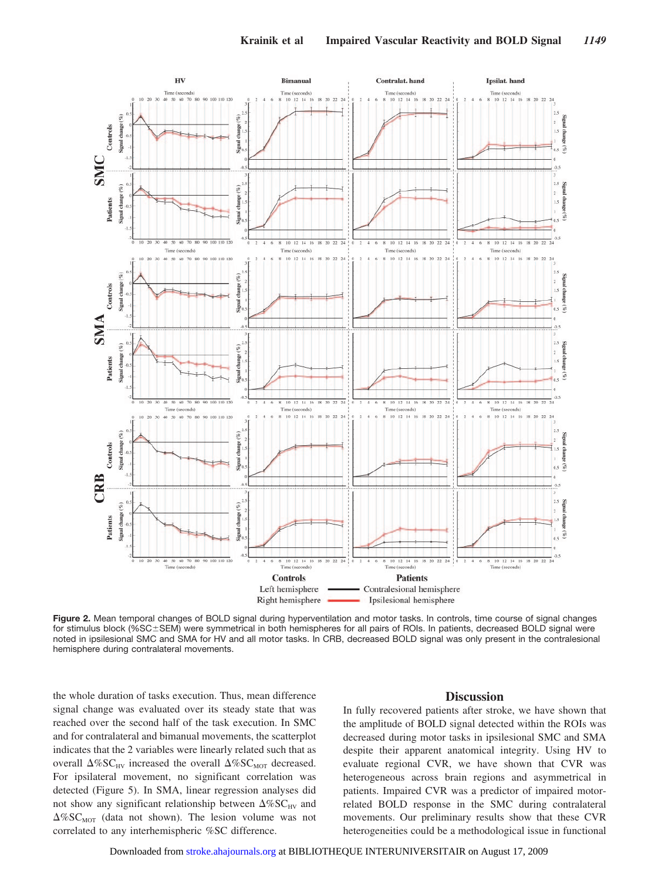

**Figure 2.** Mean temporal changes of BOLD signal during hyperventilation and motor tasks. In controls, time course of signal changes for stimulus block (%SC±SEM) were symmetrical in both hemispheres for all pairs of ROIs. In patients, decreased BOLD signal were noted in ipsilesional SMC and SMA for HV and all motor tasks. In CRB, decreased BOLD signal was only present in the contralesional hemisphere during contralateral movements.

the whole duration of tasks execution. Thus, mean difference signal change was evaluated over its steady state that was reached over the second half of the task execution. In SMC and for contralateral and bimanual movements, the scatterplot indicates that the 2 variables were linearly related such that as overall  $\Delta\%SC_{HV}$  increased the overall  $\Delta\%SC_{MOT}$  decreased. For ipsilateral movement, no significant correlation was detected (Figure 5). In SMA, linear regression analyses did not show any significant relationship between  $\Delta\%SC_{HV}$  and  $\Delta\%SC_{MOT}$  (data not shown). The lesion volume was not correlated to any interhemispheric %SC difference.

#### **Discussion**

In fully recovered patients after stroke, we have shown that the amplitude of BOLD signal detected within the ROIs was decreased during motor tasks in ipsilesional SMC and SMA despite their apparent anatomical integrity. Using HV to evaluate regional CVR, we have shown that CVR was heterogeneous across brain regions and asymmetrical in patients. Impaired CVR was a predictor of impaired motorrelated BOLD response in the SMC during contralateral movements. Our preliminary results show that these CVR heterogeneities could be a methodological issue in functional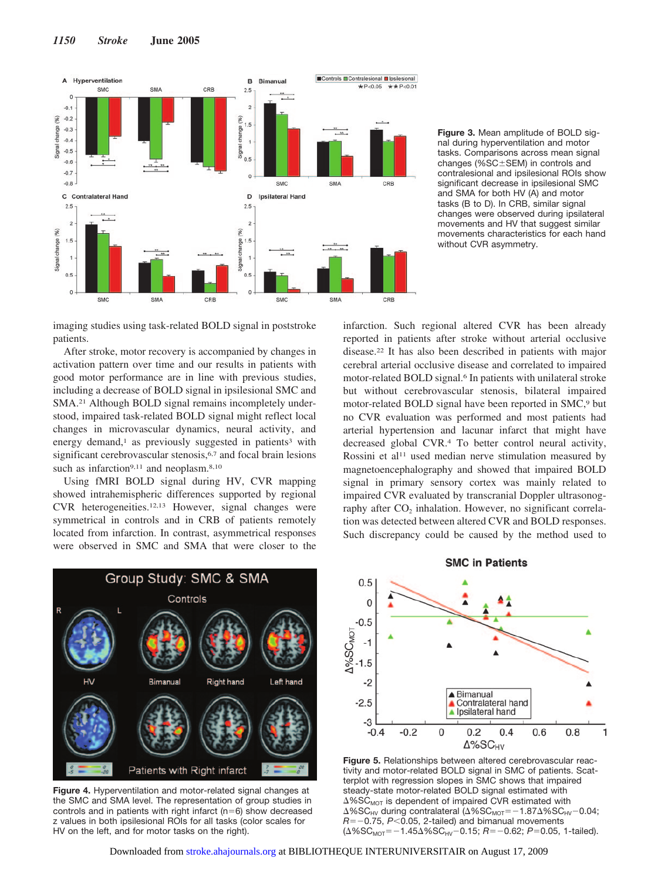



imaging studies using task-related BOLD signal in poststroke patients.

After stroke, motor recovery is accompanied by changes in activation pattern over time and our results in patients with good motor performance are in line with previous studies, including a decrease of BOLD signal in ipsilesional SMC and SMA.<sup>21</sup> Although BOLD signal remains incompletely understood, impaired task-related BOLD signal might reflect local changes in microvascular dynamics, neural activity, and energy demand,<sup>1</sup> as previously suggested in patients<sup>3</sup> with significant cerebrovascular stenosis,<sup>6,7</sup> and focal brain lesions such as infarction<sup>9,11</sup> and neoplasm.<sup>8,10</sup>

Using fMRI BOLD signal during HV, CVR mapping showed intrahemispheric differences supported by regional CVR heterogeneities.12,13 However, signal changes were symmetrical in controls and in CRB of patients remotely located from infarction. In contrast, asymmetrical responses were observed in SMC and SMA that were closer to the



**Figure 4.** Hyperventilation and motor-related signal changes at the SMC and SMA level. The representation of group studies in controls and in patients with right infarct ( $n=6$ ) show decreased z values in both ipsilesional ROIs for all tasks (color scales for HV on the left, and for motor tasks on the right).

infarction. Such regional altered CVR has been already reported in patients after stroke without arterial occlusive disease.22 It has also been described in patients with major cerebral arterial occlusive disease and correlated to impaired motor-related BOLD signal.<sup>6</sup> In patients with unilateral stroke but without cerebrovascular stenosis, bilateral impaired motor-related BOLD signal have been reported in SMC,<sup>9</sup> but no CVR evaluation was performed and most patients had arterial hypertension and lacunar infarct that might have decreased global CVR.4 To better control neural activity, Rossini et al<sup>11</sup> used median nerve stimulation measured by magnetoencephalography and showed that impaired BOLD signal in primary sensory cortex was mainly related to impaired CVR evaluated by transcranial Doppler ultrasonography after  $CO<sub>2</sub>$  inhalation. However, no significant correlation was detected between altered CVR and BOLD responses. Such discrepancy could be caused by the method used to

## **SMC in Patients**



**Figure 5.** Relationships between altered cerebrovascular reactivity and motor-related BOLD signal in SMC of patients. Scatterplot with regression slopes in SMC shows that impaired steady-state motor-related BOLD signal estimated with  $\Delta$ %SC<sub>MOT</sub> is dependent of impaired CVR estimated with  $\Delta\%$ SC<sub>HV</sub> during contralateral ( $\Delta\%$ SC<sub>MOT</sub>=-1.87 $\Delta\%$ SC<sub>HV</sub>-0.04; *R*= –0.75, *P*<0.05, 2-tailed) and bimanual movements (Δ%SC<sub>MOT</sub> = -1.45Δ%SC<sub>HV</sub> - 0.15; *R* = -0.62; *P* = 0.05, 1-tailed).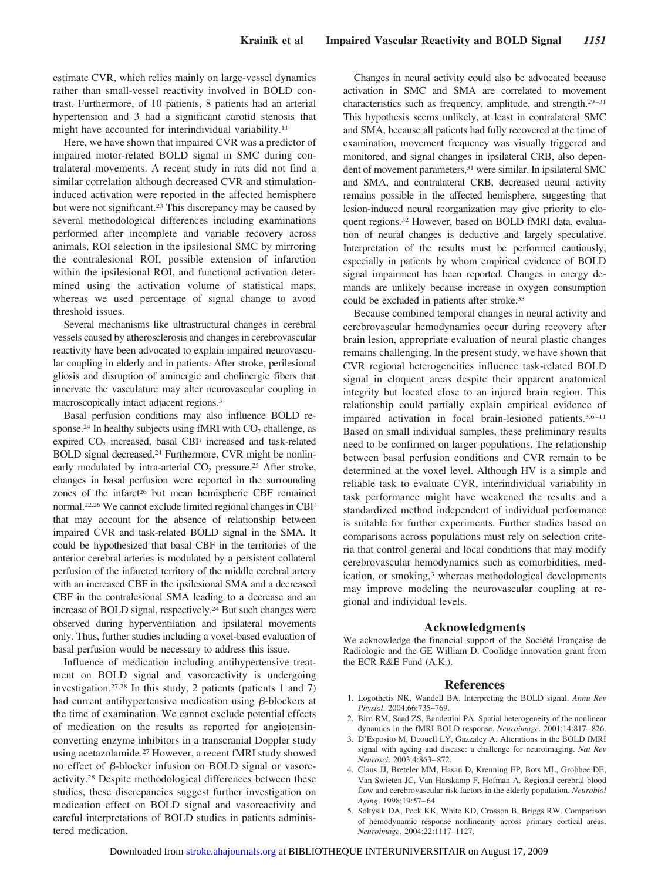estimate CVR, which relies mainly on large-vessel dynamics rather than small-vessel reactivity involved in BOLD contrast. Furthermore, of 10 patients, 8 patients had an arterial hypertension and 3 had a significant carotid stenosis that might have accounted for interindividual variability.11

Here, we have shown that impaired CVR was a predictor of impaired motor-related BOLD signal in SMC during contralateral movements. A recent study in rats did not find a similar correlation although decreased CVR and stimulationinduced activation were reported in the affected hemisphere but were not significant.<sup>23</sup> This discrepancy may be caused by several methodological differences including examinations performed after incomplete and variable recovery across animals, ROI selection in the ipsilesional SMC by mirroring the contralesional ROI, possible extension of infarction within the ipsilesional ROI, and functional activation determined using the activation volume of statistical maps, whereas we used percentage of signal change to avoid threshold issues.

Several mechanisms like ultrastructural changes in cerebral vessels caused by atherosclerosis and changes in cerebrovascular reactivity have been advocated to explain impaired neurovascular coupling in elderly and in patients. After stroke, perilesional gliosis and disruption of aminergic and cholinergic fibers that innervate the vasculature may alter neurovascular coupling in macroscopically intact adjacent regions.3

Basal perfusion conditions may also influence BOLD response.<sup>24</sup> In healthy subjects using fMRI with  $CO<sub>2</sub>$  challenge, as expired CO<sub>2</sub> increased, basal CBF increased and task-related BOLD signal decreased.24 Furthermore, CVR might be nonlinearly modulated by intra-arterial  $CO<sub>2</sub>$  pressure.<sup>25</sup> After stroke, changes in basal perfusion were reported in the surrounding zones of the infarct<sup>26</sup> but mean hemispheric CBF remained normal.22,26 We cannot exclude limited regional changes in CBF that may account for the absence of relationship between impaired CVR and task-related BOLD signal in the SMA. It could be hypothesized that basal CBF in the territories of the anterior cerebral arteries is modulated by a persistent collateral perfusion of the infarcted territory of the middle cerebral artery with an increased CBF in the ipsilesional SMA and a decreased CBF in the contralesional SMA leading to a decrease and an increase of BOLD signal, respectively.24 But such changes were observed during hyperventilation and ipsilateral movements only. Thus, further studies including a voxel-based evaluation of basal perfusion would be necessary to address this issue.

Influence of medication including antihypertensive treatment on BOLD signal and vasoreactivity is undergoing investigation.27,28 In this study, 2 patients (patients 1 and 7) had current antihypertensive medication using  $\beta$ -blockers at the time of examination. We cannot exclude potential effects of medication on the results as reported for angiotensinconverting enzyme inhibitors in a transcranial Doppler study using acetazolamide.27 However, a recent fMRI study showed no effect of  $\beta$ -blocker infusion on BOLD signal or vasoreactivity.28 Despite methodological differences between these studies, these discrepancies suggest further investigation on medication effect on BOLD signal and vasoreactivity and careful interpretations of BOLD studies in patients administered medication.

Changes in neural activity could also be advocated because activation in SMC and SMA are correlated to movement characteristics such as frequency, amplitude, and strength.<sup>29-31</sup> This hypothesis seems unlikely, at least in contralateral SMC and SMA, because all patients had fully recovered at the time of examination, movement frequency was visually triggered and monitored, and signal changes in ipsilateral CRB, also dependent of movement parameters,<sup>31</sup> were similar. In ipsilateral SMC and SMA, and contralateral CRB, decreased neural activity remains possible in the affected hemisphere, suggesting that lesion-induced neural reorganization may give priority to eloquent regions.32 However, based on BOLD fMRI data, evaluation of neural changes is deductive and largely speculative. Interpretation of the results must be performed cautiously, especially in patients by whom empirical evidence of BOLD signal impairment has been reported. Changes in energy demands are unlikely because increase in oxygen consumption could be excluded in patients after stroke.33

Because combined temporal changes in neural activity and cerebrovascular hemodynamics occur during recovery after brain lesion, appropriate evaluation of neural plastic changes remains challenging. In the present study, we have shown that CVR regional heterogeneities influence task-related BOLD signal in eloquent areas despite their apparent anatomical integrity but located close to an injured brain region. This relationship could partially explain empirical evidence of impaired activation in focal brain-lesioned patients.<sup>3,6-11</sup> Based on small individual samples, these preliminary results need to be confirmed on larger populations. The relationship between basal perfusion conditions and CVR remain to be determined at the voxel level. Although HV is a simple and reliable task to evaluate CVR, interindividual variability in task performance might have weakened the results and a standardized method independent of individual performance is suitable for further experiments. Further studies based on comparisons across populations must rely on selection criteria that control general and local conditions that may modify cerebrovascular hemodynamics such as comorbidities, medication, or smoking,<sup>3</sup> whereas methodological developments may improve modeling the neurovascular coupling at regional and individual levels.

#### **Acknowledgments**

We acknowledge the financial support of the Société Française de Radiologie and the GE William D. Coolidge innovation grant from the ECR R&E Fund (A.K.).

#### **References**

- 1. Logothetis NK, Wandell BA. Interpreting the BOLD signal. *Annu Rev Physiol*. 2004;66:735–769.
- 2. Birn RM, Saad ZS, Bandettini PA. Spatial heterogeneity of the nonlinear dynamics in the fMRI BOLD response. *Neuroimage*. 2001;14:817– 826.
- 3. D'Esposito M, Deouell LY, Gazzaley A. Alterations in the BOLD fMRI signal with ageing and disease: a challenge for neuroimaging. *Nat Rev Neurosci*. 2003;4:863– 872.
- 4. Claus JJ, Breteler MM, Hasan D, Krenning EP, Bots ML, Grobbee DE, Van Swieten JC, Van Harskamp F, Hofman A. Regional cerebral blood flow and cerebrovascular risk factors in the elderly population. *Neurobiol Aging*. 1998;19:57– 64.
- 5. Soltysik DA, Peck KK, White KD, Crosson B, Briggs RW. Comparison of hemodynamic response nonlinearity across primary cortical areas. *Neuroimage*. 2004;22:1117–1127.